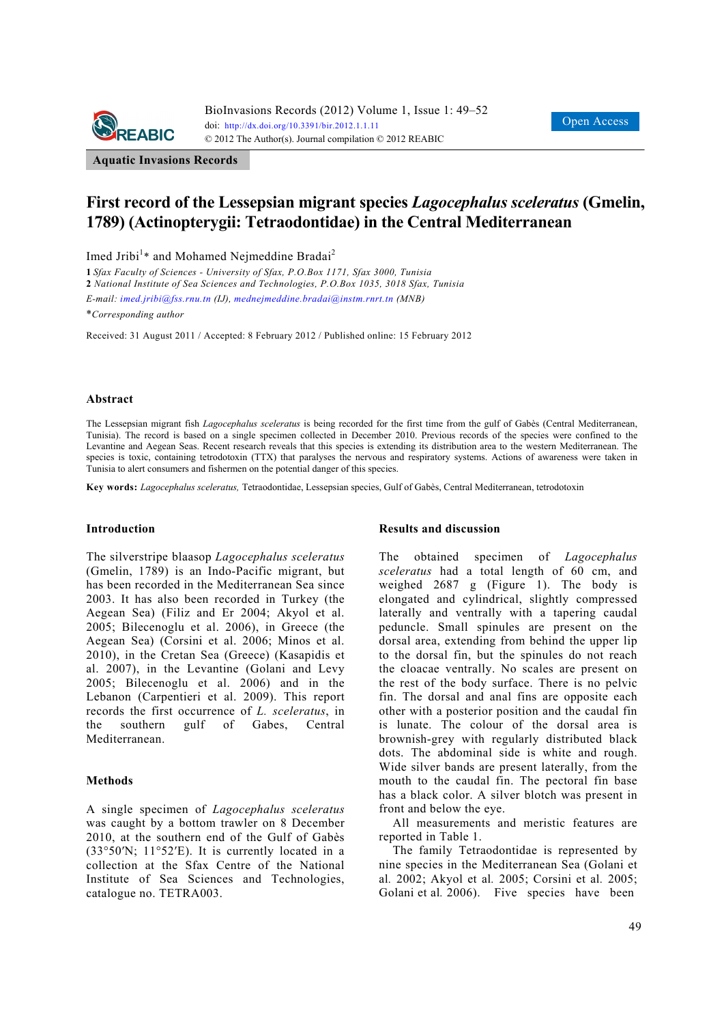

**Aquatic Invasions Records** 

# **First record of the Lessepsian migrant species** *Lagocephalus sceleratus* **(Gmelin, 1789) (Actinopterygii: Tetraodontidae) in the Central Mediterranean**

Imed Jribi<sup>1</sup>\* and Mohamed Nejmeddine Bradai<sup>2</sup>

**1** *Sfax Faculty of Sciences - University of Sfax, P.O.Box 1171, Sfax 3000, Tunisia*  **2** *National Institute of Sea Sciences and Technologies, P.O.Box 1035, 3018 Sfax, Tunisia E-mail: imed.jribi@fss.rnu.tn (IJ), mednejmeddine.bradai@instm.rnrt.tn (MNB)*  \**Corresponding author* 

Received: 31 August 2011 / Accepted: 8 February 2012 / Published online: 15 February 2012

#### **Abstract**

The Lessepsian migrant fish *Lagocephalus sceleratus* is being recorded for the first time from the gulf of Gabès (Central Mediterranean, Tunisia). The record is based on a single specimen collected in December 2010. Previous records of the species were confined to the Levantine and Aegean Seas. Recent research reveals that this species is extending its distribution area to the western Mediterranean. The species is toxic, containing tetrodotoxin (TTX) that paralyses the nervous and respiratory systems. Actions of awareness were taken in Tunisia to alert consumers and fishermen on the potential danger of this species.

**Key words:** *Lagocephalus sceleratus,* Tetraodontidae, Lessepsian species, Gulf of Gabès, Central Mediterranean, tetrodotoxin

## **Introduction**

The silverstripe blaasop *Lagocephalus sceleratus*  (Gmelin, 1789) is an Indo-Pacific migrant, but has been recorded in the Mediterranean Sea since 2003. It has also been recorded in Turkey (the Aegean Sea) (Filiz and Er 2004; Akyol et al. 2005; Bilecenoglu et al. 2006), in Greece (the Aegean Sea) (Corsini et al. 2006; Minos et al. 2010), in the Cretan Sea (Greece) (Kasapidis et al. 2007), in the Levantine (Golani and Levy 2005; Bilecenoglu et al. 2006) and in the Lebanon (Carpentieri et al. 2009). This report records the first occurrence of *L. sceleratus*, in the southern gulf of Gabes, Central Mediterranean.

## **Methods**

A single specimen of *Lagocephalus sceleratus*  was caught by a bottom trawler on 8 December 2010, at the southern end of the Gulf of Gabès  $(33°50'N; 11°52'E)$ . It is currently located in a collection at the Sfax Centre of the National Institute of Sea Sciences and Technologies, catalogue no. TETRA003.

#### **Results and discussion**

The obtained specimen of *Lagocephalus sceleratus* had a total length of 60 cm, and weighed 2687 g (Figure 1). The body is elongated and cylindrical, slightly compressed laterally and ventrally with a tapering caudal peduncle. Small spinules are present on the dorsal area, extending from behind the upper lip to the dorsal fin, but the spinules do not reach the cloacae ventrally. No scales are present on the rest of the body surface. There is no pelvic fin. The dorsal and anal fins are opposite each other with a posterior position and the caudal fin is lunate. The colour of the dorsal area is brownish-grey with regularly distributed black dots. The abdominal side is white and rough. Wide silver bands are present laterally, from the mouth to the caudal fin. The pectoral fin base has a black color. A silver blotch was present in front and below the eye.

All measurements and meristic features are reported in Table 1.

The family Tetraodontidae is represented by nine species in the Mediterranean Sea (Golani et al*.* 2002; Akyol et al*.* 2005; Corsini et al*.* 2005; Golani et al*.* 2006). Five species have been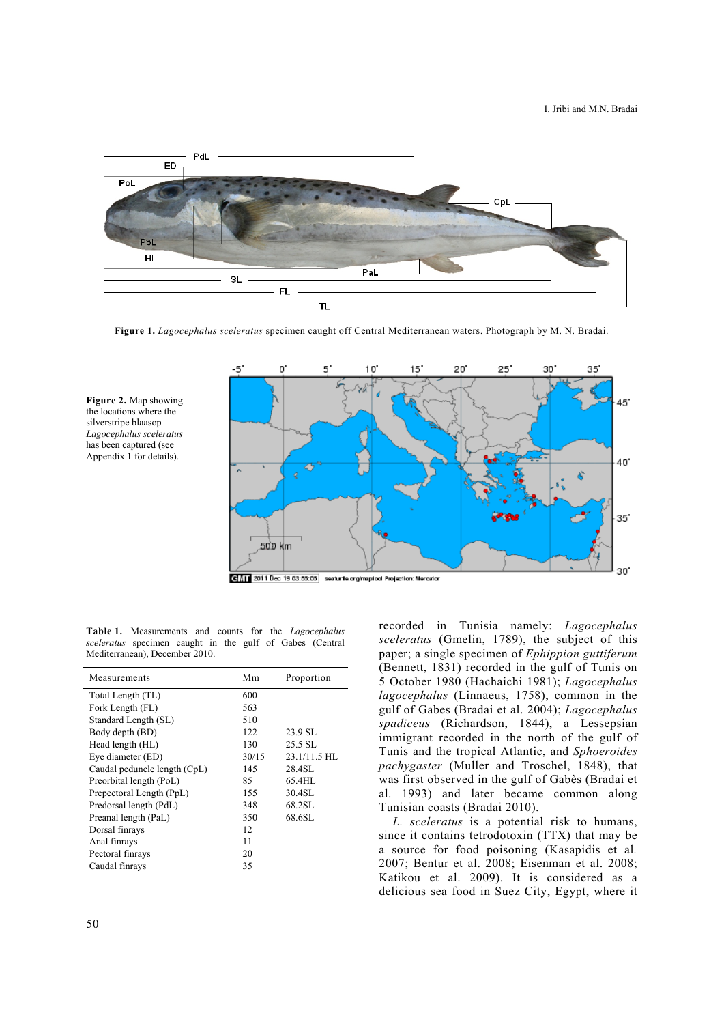

**Figure 1.** *Lagocephalus sceleratus* specimen caught off Central Mediterranean waters. Photograph by M. N. Bradai.



GMT 2011 Dec 19 03:55:05 seaturie.org/maptool Projection: Mercetor

**Figure 2.** Map showing the locations where the silverstripe blaasop *Lagocephalus sceleratus* has been captured (see Appendix 1 for details).

|                                | <b>Table 1.</b> Measurements and counts for the <i>Lagocephalus</i> |  |  |  |  |  |  |  |  |
|--------------------------------|---------------------------------------------------------------------|--|--|--|--|--|--|--|--|
|                                | <i>sceleratus</i> specimen caught in the gulf of Gabes (Central     |  |  |  |  |  |  |  |  |
| Mediterranean), December 2010. |                                                                     |  |  |  |  |  |  |  |  |

| Measurements                 | Mm    | Proportion     |
|------------------------------|-------|----------------|
| Total Length (TL)            | 600   |                |
| Fork Length (FL)             | 563   |                |
| Standard Length (SL)         | 510   |                |
| Body depth (BD)              | 122   | 23.9 SL        |
| Head length (HL)             | 130   | 25.5 SL        |
| Eye diameter (ED)            | 30/15 | $23.1/11.5$ HL |
| Caudal peduncle length (CpL) | 145   | 28.4SL         |
| Preorbital length (PoL)      | 85    | $65.4$ HL      |
| Prepectoral Length (PpL)     | 155   | 30.4SL         |
| Predorsal length (PdL)       | 348   | 68.2SL         |
| Preanal length (PaL)         | 350   | 68.6SL         |
| Dorsal finrays               | 12    |                |
| Anal finrays                 | 11    |                |
| Pectoral finrays             | 20    |                |
| Caudal finrays               | 35    |                |

recorded in Tunisia namely: *Lagocephalus sceleratus* (Gmelin, 1789), the subject of this paper; a single specimen of *Ephippion guttiferum* (Bennett, 1831) recorded in the gulf of Tunis on 5 October 1980 (Hachaichi 1981); *Lagocephalus lagocephalus* (Linnaeus, 1758), common in the gulf of Gabes (Bradai et al. 2004); *Lagocephalus spadiceus* (Richardson, 1844), a Lessepsian immigrant recorded in the north of the gulf of Tunis and the tropical Atlantic, and *Sphoeroides pachygaster* (Muller and Troschel, 1848), that was first observed in the gulf of Gabès (Bradai et al. 1993) and later became common along Tunisian coasts (Bradai 2010).

*L. sceleratus* is a potential risk to humans, since it contains tetrodotoxin (TTX) that may be a source for food poisoning (Kasapidis et al*.* 2007; Bentur et al. 2008; Eisenman et al. 2008; Katikou et al. 2009). It is considered as a delicious sea food in Suez City, Egypt, where it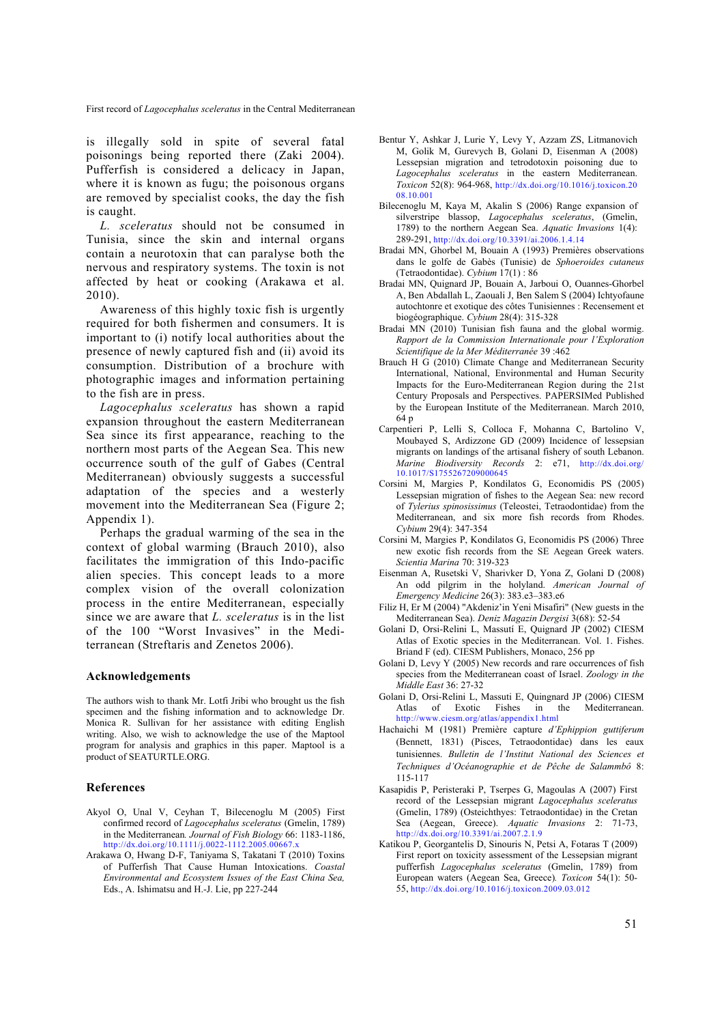First record of *Lagocephalus sceleratus* in the Central Mediterranean

is illegally sold in spite of several fatal poisonings being reported there (Zaki 2004). Pufferfish is considered a delicacy in Japan, where it is known as fugu; the poisonous organs are removed by specialist cooks, the day the fish is caught.

*L. sceleratus* should not be consumed in Tunisia, since the skin and internal organs contain a neurotoxin that can paralyse both the nervous and respiratory systems. The toxin is not affected by heat or cooking (Arakawa et al. 2010).

Awareness of this highly toxic fish is urgently required for both fishermen and consumers. It is important to (i) notify local authorities about the presence of newly captured fish and (ii) avoid its consumption. Distribution of a brochure with photographic images and information pertaining to the fish are in press.

*Lagocephalus sceleratus* has shown a rapid expansion throughout the eastern Mediterranean Sea since its first appearance, reaching to the northern most parts of the Aegean Sea. This new occurrence south of the gulf of Gabes (Central Mediterranean) obviously suggests a successful adaptation of the species and a westerly movement into the Mediterranean Sea (Figure 2: Appendix 1).

Perhaps the gradual warming of the sea in the context of global warming (Brauch 2010), also facilitates the immigration of this Indo-pacific alien species. This concept leads to a more complex vision of the overall colonization process in the entire Mediterranean, especially since we are aware that *L. sceleratus* is in the list of the 100 "Worst Invasives" in the Mediterranean (Streftaris and Zenetos 2006).

## **Acknowledgements**

The authors wish to thank Mr. Lotfi Jribi who brought us the fish specimen and the fishing information and to acknowledge Dr. Monica R. Sullivan for her assistance with editing English writing. Also, we wish to acknowledge the use of the Maptool program for analysis and graphics in this paper. Maptool is a product of SEATURTLE.ORG.

## **References**

- Akyol O, Unal V, Ceyhan T, Bilecenoglu M (2005) First confirmed record of *Lagocephalus sceleratus* (Gmelin, 1789) in the Mediterranean*. Journal of Fish Biology* 66: 1183-1186, http://dx.doi.org/10.1111/j.0022-1112.2005.00667.x
- Arakawa O, Hwang D-F, Taniyama S, Takatani T (2010) Toxins of Pufferfish That Cause Human Intoxications. *Coastal Environmental and Ecosystem Issues of the East China Sea,* Eds., A. Ishimatsu and H.-J. Lie, pp 227-244
- Bentur Y, Ashkar J, Lurie Y, Levy Y, Azzam ZS, Litmanovich M, Golik M, Gurevych B, Golani D, Eisenman A (2008) Lessepsian migration and tetrodotoxin poisoning due to *Lagocephalus sceleratus* in the eastern Mediterranean. *Toxicon* 52(8): 964-968, http://dx.doi.org/10.1016/j.toxicon.20 08.10.001
- Bilecenoglu M, Kaya M, Akalin S (2006) Range expansion of silverstripe blassop, *Lagocephalus sceleratus*, (Gmelin, 1789) to the northern Aegean Sea. *Aquatic Invasions* 1(4): 289-291, http://dx.doi.org/10.3391/ai.2006.1.4.14
- Bradai MN, Ghorbel M, Bouain A (1993) Premières observations dans le golfe de Gabès (Tunisie) de *Sphoeroides cutaneus* (Tetraodontidae). *Cybium* 17(1) : 86
- Bradai MN, Quignard JP, Bouain A, Jarboui O, Ouannes-Ghorbel A, Ben Abdallah L, Zaouali J, Ben Salem S (2004) Ichtyofaune autochtonre et exotique des côtes Tunisiennes : Recensement et biogéographique. *Cybium* 28(4): 315-328
- Bradai MN (2010) Tunisian fish fauna and the global wormig. *Rapport de la Commission Internationale pour l'Exploration Scientifique de la Mer Méditerranée* 39 :462
- Brauch H G (2010) Climate Change and Mediterranean Security International, National, Environmental and Human Security Impacts for the Euro-Mediterranean Region during the 21st Century Proposals and Perspectives. PAPERSIMed Published by the European Institute of the Mediterranean. March 2010, 64 p
- Carpentieri P, Lelli S, Colloca F, Mohanna C, Bartolino V, Moubayed S, Ardizzone GD (2009) Incidence of lessepsian migrants on landings of the artisanal fishery of south Lebanon. *Marine Biodiversity Records* 2: e71, http://dx.doi.org/ 10.1017/S1755267209000645
- Corsini M, Margies P, Kondilatos G, Economidis PS (2005) Lessepsian migration of fishes to the Aegean Sea: new record of *Tylerius spinosissimus* (Teleostei, Tetraodontidae) from the Mediterranean, and six more fish records from Rhodes. *Cybium* 29(4): 347-354
- Corsini M, Margies P, Kondilatos G, Economidis PS (2006) Three new exotic fish records from the SE Aegean Greek waters. *Scientia Marina* 70: 319-323
- Eisenman A, Rusetski V, Sharivker D, Yona Z, Golani D (2008) An odd pilgrim in the holyland. *American Journal of Emergency Medicine* 26(3): 383.e3–383.e6
- Filiz H, Er M (2004) "Akdeniz'in Yeni Misafiri" (New guests in the Mediterranean Sea). *Deniz Magazin Dergisi* 3(68): 52-54
- Golani D, Orsi-Relini L, Massutí E, Quignard JP (2002) CIESM Atlas of Exotic species in the Mediterranean. Vol. 1. Fishes. Briand F (ed). CIESM Publishers, Monaco, 256 pp
- Golani D, Levy Y (2005) New records and rare occurrences of fish species from the Mediterranean coast of Israel. *Zoology in the Middle East* 36: 27-32
- Golani D, Orsi-Relini L, Massuti E, Quingnard JP (2006) CIESM Atlas of Exotic Fishes in the Mediterranean. http://www.ciesm.org/atlas/appendix1.html
- Hachaichi M (1981) Première capture *d'Ephippion guttiferum*  (Bennett, 1831) (Pisces, Tetraodontidae) dans les eaux tunisiennes. *Bulletin de l'Institut National des Sciences et Techniques d'Océanographie et de Pêche de Salammbô* 8: 115-117
- Kasapidis P, Peristeraki P, Tserpes G, Magoulas A (2007) First record of the Lessepsian migrant *Lagocephalus sceleratus* (Gmelin, 1789) (Osteichthyes: Tetraodontidae) in the Cretan Sea (Aegean, Greece). *Aquatic Invasions* 2: 71-73, http://dx.doi.org/10.3391/ai.2007.2.1.9
- Katikou P, Georgantelis D, Sinouris N, Petsi A, Fotaras T (2009) First report on toxicity assessment of the Lessepsian migrant pufferfish *Lagocephalus sceleratus* (Gmelin, 1789) from European waters (Aegean Sea, Greece)*. Toxicon* 54(1): 50- 55, http://dx.doi.org/10.1016/j.toxicon.2009.03.012